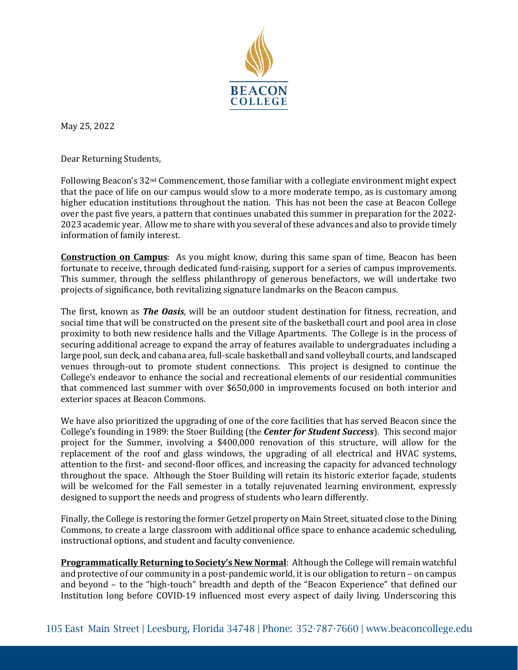

May 25, 2022

Dear Returning Students,

Following Beacon's 32nd Commencement, those familiar with a collegiate environment might expect that the pace of life on our campus would slow to a more moderate tempo, as is customary among higher education institutions throughout the nation. This has not been the case at Beacon College over the past five years, a pattern that continues unabated this summer in preparation for the 2022- 2023 academic year. Allow me to share with you several of these advances and also to provide timely information of family interest.

**Construction on Campus**: As you might know, during this same span of time, Beacon has been fortunate to receive, through dedicated fund-raising, support for a series of campus improvements. This summer, through the selfless philanthropy of generous benefactors, we will undertake two projects of significance, both revitalizing signature landmarks on the Beacon campus.

The first, known as *The Oasis*, will be an outdoor student destination for fitness, recreation, and social time that will be constructed on the present site of the basketball court and pool area in close proximity to both new residence halls and the Village Apartments. The College is in the process of securing additional acreage to expand the array of features available to undergraduates including a large pool, sun deck, and cabana area, full-scale basketball and sand volleyball courts, and landscaped venues through-out to promote student connections. This project is designed to continue the College's endeavor to enhance the social and recreational elements of our residential communities that commenced last summer with over \$650,000 in improvements focused on both interior and exterior spaces at Beacon Commons.

We have also prioritized the upgrading of one of the core facilities that has served Beacon since the College's founding in 1989: the Stoer Building (the *Center for Student Success*). This second major project for the Summer, involving a \$400,000 renovation of this structure, will allow for the replacement of the roof and glass windows, the upgrading of all electrical and HVAC systems, attention to the first- and second-floor offices, and increasing the capacity for advanced technology throughout the space. Although the Stoer Building will retain its historic exterior façade, students will be welcomed for the Fall semester in a totally rejuvenated learning environment, expressly designed to support the needs and progress of students who learn differently.

Finally, the College is restoring the former Getzel property on Main Street, situated close to the Dining Commons, to create a large classroom with additional office space to enhance academic scheduling, instructional options, and student and faculty convenience.

**Programmatically Returning to Society's New Normal**: Although the College will remain watchful and protective of our community in a post-pandemic world, it is our obligation to return – on campus and beyond – to the "high-touch" breadth and depth of the "Beacon Experience" that defined our Institution long before COVID-19 influenced most every aspect of daily living. Underscoring this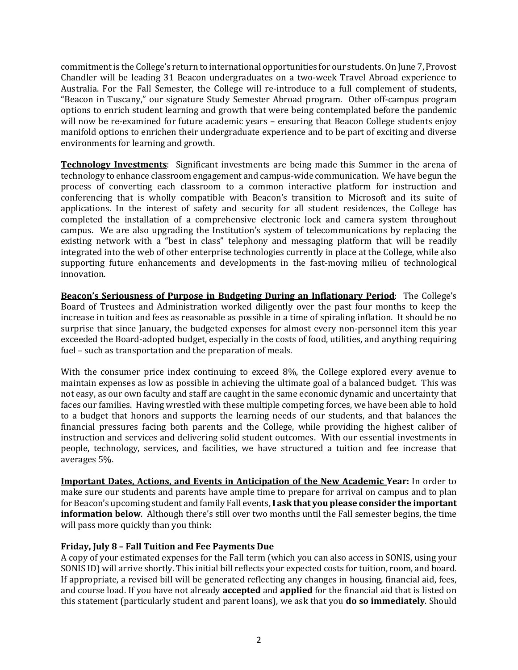commitment is the College's return to international opportunities for our students. On June 7, Provost Chandler will be leading 31 Beacon undergraduates on a two-week Travel Abroad experience to Australia. For the Fall Semester, the College will re-introduce to a full complement of students, "Beacon in Tuscany," our signature Study Semester Abroad program. Other off-campus program options to enrich student learning and growth that were being contemplated before the pandemic will now be re-examined for future academic years – ensuring that Beacon College students enjoy manifold options to enrichen their undergraduate experience and to be part of exciting and diverse environments for learning and growth.

**Technology Investments**: Significant investments are being made this Summer in the arena of technology to enhance classroom engagement and campus-wide communication. We have begun the process of converting each classroom to a common interactive platform for instruction and conferencing that is wholly compatible with Beacon's transition to Microsoft and its suite of applications. In the interest of safety and security for all student residences, the College has completed the installation of a comprehensive electronic lock and camera system throughout campus. We are also upgrading the Institution's system of telecommunications by replacing the existing network with a "best in class" telephony and messaging platform that will be readily integrated into the web of other enterprise technologies currently in place at the College, while also supporting future enhancements and developments in the fast-moving milieu of technological innovation.

**Beacon's Seriousness of Purpose in Budgeting During an Inflationary Period**: The College's Board of Trustees and Administration worked diligently over the past four months to keep the increase in tuition and fees as reasonable as possible in a time of spiraling inflation. It should be no surprise that since January, the budgeted expenses for almost every non-personnel item this year exceeded the Board-adopted budget, especially in the costs of food, utilities, and anything requiring fuel – such as transportation and the preparation of meals.

With the consumer price index continuing to exceed 8%, the College explored every avenue to maintain expenses as low as possible in achieving the ultimate goal of a balanced budget. This was not easy, as our own faculty and staff are caught in the same economic dynamic and uncertainty that faces our families. Having wrestled with these multiple competing forces, we have been able to hold to a budget that honors and supports the learning needs of our students, and that balances the financial pressures facing both parents and the College, while providing the highest caliber of instruction and services and delivering solid student outcomes. With our essential investments in people, technology, services, and facilities, we have structured a tuition and fee increase that averages 5%.

**Important Dates, Actions, and Events in Anticipation of the New Academic Year:** In order to make sure our students and parents have ample time to prepare for arrival on campus and to plan for Beacon's upcoming student and family Fall events,**I ask that you please consider the important information below**. Although there's still over two months until the Fall semester begins, the time will pass more quickly than you think:

## **Friday, July 8 – Fall Tuition and Fee Payments Due**

A copy of your estimated expenses for the Fall term (which you can also access in SONIS, using your SONIS ID) will arrive shortly. This initial bill reflects your expected costs for tuition, room, and board. If appropriate, a revised bill will be generated reflecting any changes in housing, financial aid, fees, and course load. If you have not already **accepted** and **applied** for the financial aid that is listed on this statement (particularly student and parent loans), we ask that you **do so immediately**. Should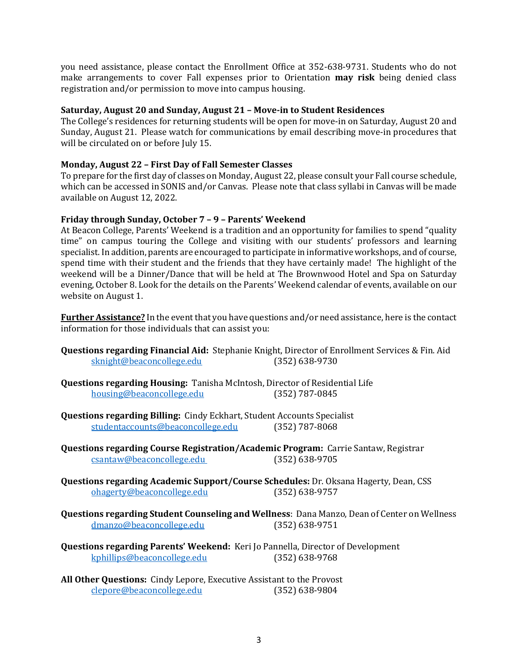you need assistance, please contact the Enrollment Office at 352-638-9731. Students who do not make arrangements to cover Fall expenses prior to Orientation **may risk** being denied class registration and/or permission to move into campus housing.

## **Saturday, August 20 and Sunday, August 21 – Move-in to Student Residences**

The College's residences for returning students will be open for move-in on Saturday, August 20 and Sunday, August 21. Please watch for communications by email describing move-in procedures that will be circulated on or before July 15.

## **Monday, August 22 – First Day of Fall Semester Classes**

To prepare for the first day of classes on Monday, August 22, please consult your Fall course schedule, which can be accessed in SONIS and/or Canvas. Please note that class syllabi in Canvas will be made available on August 12, 2022.

## **Friday through Sunday, October 7 – 9 – Parents' Weekend**

At Beacon College, Parents' Weekend is a tradition and an opportunity for families to spend "quality time" on campus touring the College and visiting with our students' professors and learning specialist. In addition, parents are encouraged to participate in informative workshops, and of course, spend time with their student and the friends that they have certainly made! The highlight of the weekend will be a Dinner/Dance that will be held at The Brownwood Hotel and Spa on Saturday evening, October 8. Look for the details on the Parents' Weekend calendar of events, available on our website on August 1.

**Further Assistance?** In the event that you have questions and/or need assistance, here is the contact information for those individuals that can assist you:

- **Questions regarding Financial Aid:** Stephanie Knight, Director of Enrollment Services & Fin. Aid [sknight@beaconcollege.edu](mailto:sknight@beaconcollege.edu)
- **Questions regarding Housing:** Tanisha McIntosh, Director of Residential Life housing@beaconcollege.edu
- **Questions regarding Billing:** Cindy Eckhart, Student Accounts Specialist<br>student accounts @beaconcollege.edu (352) 787-8068 studentaccounts@beaconcollege.edu
- **Questions regarding Course Registration/Academic Program:** Carrie Santaw, Registrar csantaw@beaconcollege.edu
- **Questions regarding Academic Support/Course Schedules:** Dr. Oksana Hagerty, Dean, CSS [ohagerty@beaconcollege.edu](mailto:ohagerty@beaconcollege.edu) (352) 638-9757
- **Questions regarding Student Counseling and Wellness**: Dana Manzo, Dean of Center on Wellness dmanzo@beaconcollege.edu
- **Questions regarding Parents' Weekend:** Keri Jo Pannella, Director of Development kphillips@beaconcollege.edu
- **All Other Questions:** Cindy Lepore, Executive Assistant to the Provost clepore@beaconcollege.edu